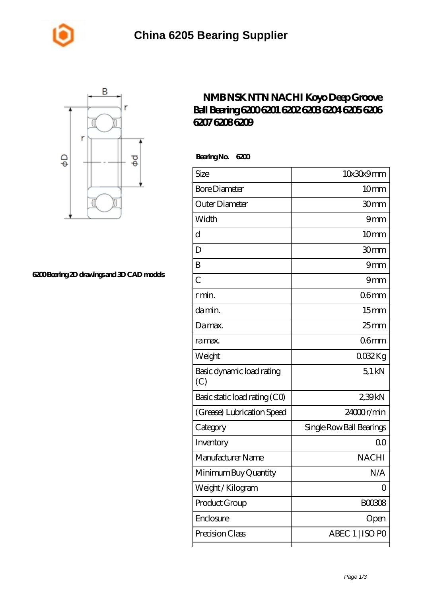



## **[6200 Bearing 2D drawings and 3D CAD models](https://m.johnny-light.com/pic-623977.html)**

## **[NMB NSK NTN NACHI Koyo Deep Groove](https://m.johnny-light.com/nsk-6207-bearing/nachi-6200/) [Ball Bearing 6200 6201 6202 6203 6204 6205 6206](https://m.johnny-light.com/nsk-6207-bearing/nachi-6200/) [6207 6208 6209](https://m.johnny-light.com/nsk-6207-bearing/nachi-6200/)**

 **Bearing No. 6200**

| Size                             | 10x30x9mm                |
|----------------------------------|--------------------------|
| <b>Bore Diameter</b>             | 10 <sub>mm</sub>         |
| Outer Diameter                   | 30mm                     |
| Width                            | 9mm                      |
| d                                | 10 <sub>mm</sub>         |
| D                                | 30mm                     |
| B                                | 9mm                      |
| $\overline{C}$                   | 9mm                      |
| r min.                           | 06 <sub>mm</sub>         |
| da min.                          | 15 <sub>mm</sub>         |
| Damax.                           | $25 \text{mm}$           |
| ra max.                          | 06 <sub>mm</sub>         |
| Weight                           | 0032Kg                   |
| Basic dynamic load rating<br>(C) | $5.1$ kN                 |
| Basic static load rating (CO)    | 239kN                    |
| (Grease) Lubrication Speed       | 24000r/min               |
| Category                         | Single Row Ball Bearings |
| Inventory                        | 00                       |
| Manufacturer Name                | <b>NACHI</b>             |
| Minimum Buy Quantity             | N/A                      |
| Weight / Kilogram                | 0                        |
| Product Group                    | BOO3O8                   |
| Enclosure                        | Open                     |
| Precision Class                  | ABEC 1   ISO PO          |
|                                  |                          |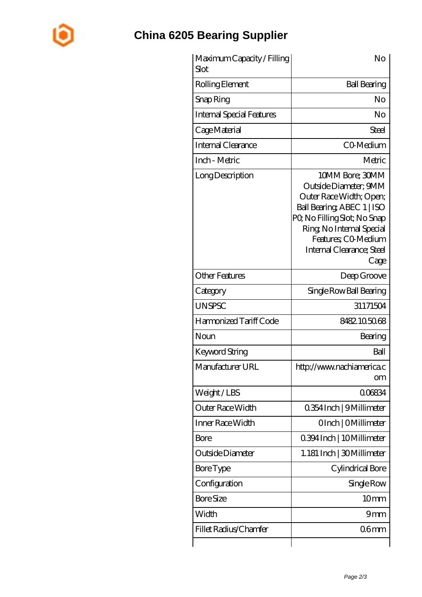

## **[China 6205 Bearing Supplier](https://m.johnny-light.com)**

| Maximum Capacity / Filling<br>Slot | No                                                                                                                                                                                                                        |
|------------------------------------|---------------------------------------------------------------------------------------------------------------------------------------------------------------------------------------------------------------------------|
| Rolling Element                    | <b>Ball Bearing</b>                                                                                                                                                                                                       |
| Snap Ring                          | No                                                                                                                                                                                                                        |
| <b>Internal Special Features</b>   | No                                                                                                                                                                                                                        |
| Cage Material                      | Steel                                                                                                                                                                                                                     |
| Internal Clearance                 | CO-Medium                                                                                                                                                                                                                 |
| Inch - Metric                      | Metric                                                                                                                                                                                                                    |
| Long Description                   | 10MM Bore; 30MM<br>Outside Diameter; 9MM<br>Outer Race Width; Open;<br>Ball Bearing, ABEC 1   ISO<br>PQ No Filling Slot; No Snap<br>Ring, No Internal Special<br>Features; CO Medium<br>Internal Clearance; Steel<br>Cage |
| <b>Other Features</b>              | Deep Groove                                                                                                                                                                                                               |
| Category                           | Single Row Ball Bearing                                                                                                                                                                                                   |
| <b>UNSPSC</b>                      | 31171504                                                                                                                                                                                                                  |
| Harmonized Tariff Code             | 8482.105068                                                                                                                                                                                                               |
| Noun                               | Bearing                                                                                                                                                                                                                   |
| <b>Keyword String</b>              | Ball                                                                                                                                                                                                                      |
| Manufacturer URL                   | http://www.nachiamerica.c<br>om                                                                                                                                                                                           |
| Weight/LBS                         | 006834                                                                                                                                                                                                                    |
| <b>Outer Race Width</b>            | 0.354 Inch   9 Millimeter                                                                                                                                                                                                 |
| Inner Race Width                   | OInch   OMillimeter                                                                                                                                                                                                       |
| Bore                               | 0.394 Inch   10 Millimeter                                                                                                                                                                                                |
| Outside Diameter                   | 1.181 Inch   30 Millimeter                                                                                                                                                                                                |
| Bore Type                          | Cylindrical Bore                                                                                                                                                                                                          |
| Configuration                      | Single Row                                                                                                                                                                                                                |
| <b>Bore Size</b>                   | 10 <sub>mm</sub>                                                                                                                                                                                                          |
| Width                              | 9mm                                                                                                                                                                                                                       |
| Fillet Radius/Chamfer              | 06 <sub>mm</sub>                                                                                                                                                                                                          |